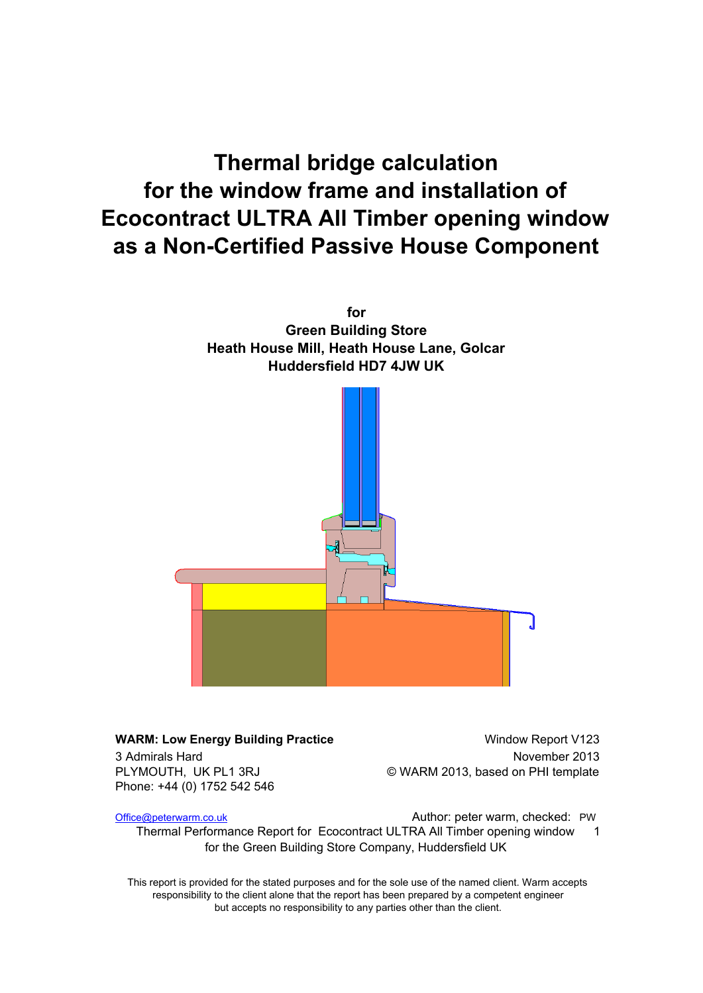# **Thermal bridge calculation for the window frame and installation of Ecocontract ULTRA All Timber opening window as a Non-Certified Passive House Component**



#### **WARM: Low Energy Building Practice Window Report V123** 3 Admirals Hard November 2013 PLYMOUTH, UK PL1 3RJ © WARM 2013, based on PHI template Phone: +44 (0) 1752 542 546

Office@peterwarm.co.uk **Communist Communist Communist Communist Communist Communist Communist Communist Communist Communist Communist Communist Communist Communist Communist Communist Communist Communist Communist Communis** 

Thermal Performance Report for Ecocontract ULTRA All Timber opening window 1 for the Green Building Store Company, Huddersfield UK

This report is provided for the stated purposes and for the sole use of the named client. Warm accepts responsibility to the client alone that the report has been prepared by a competent engineer but accepts no responsibility to any parties other than the client.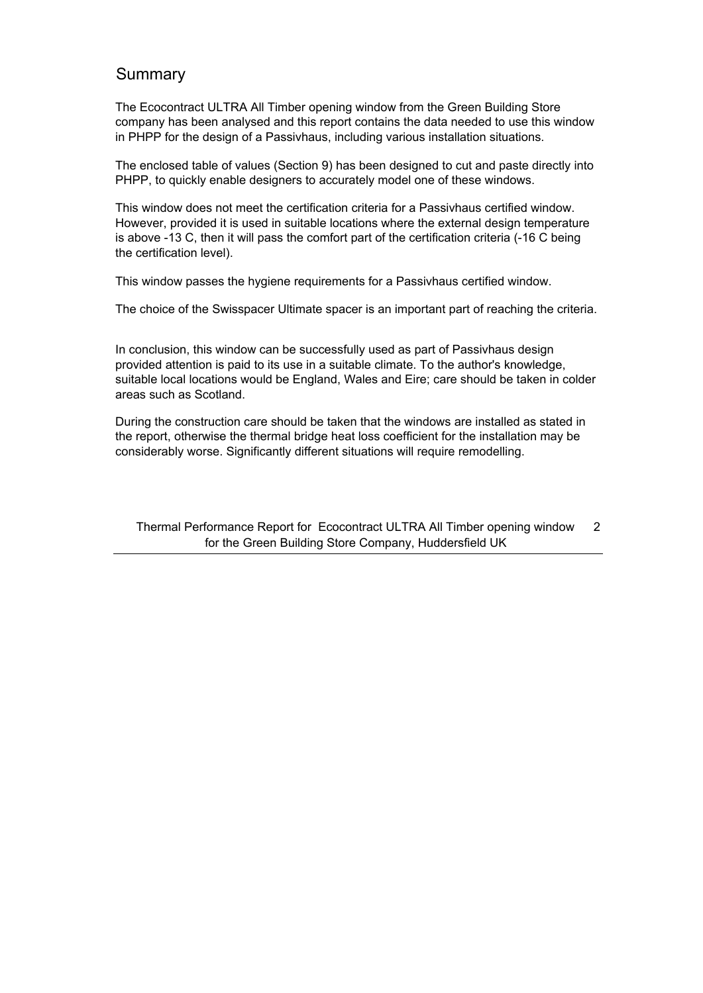### Summary

The Ecocontract ULTRA All Timber opening window from the Green Building Store company has been analysed and this report contains the data needed to use this window in PHPP for the design of a Passivhaus, including various installation situations.

The enclosed table of values (Section 9) has been designed to cut and paste directly into PHPP, to quickly enable designers to accurately model one of these windows.

This window does not meet the certification criteria for a Passivhaus certified window. However, provided it is used in suitable locations where the external design temperature is above -13 C, then it will pass the comfort part of the certification criteria (-16 C being the certification level).

This window passes the hygiene requirements for a Passivhaus certified window.

The choice of the Swisspacer Ultimate spacer is an important part of reaching the criteria.

In conclusion, this window can be successfully used as part of Passivhaus design provided attention is paid to its use in a suitable climate. To the author's knowledge, suitable local locations would be England, Wales and Eire; care should be taken in colder areas such as Scotland.

During the construction care should be taken that the windows are installed as stated in the report, otherwise the thermal bridge heat loss coefficient for the installation may be considerably worse. Significantly different situations will require remodelling.

Thermal Performance Report for Ecocontract ULTRA All Timber opening window 2 for the Green Building Store Company, Huddersfield UK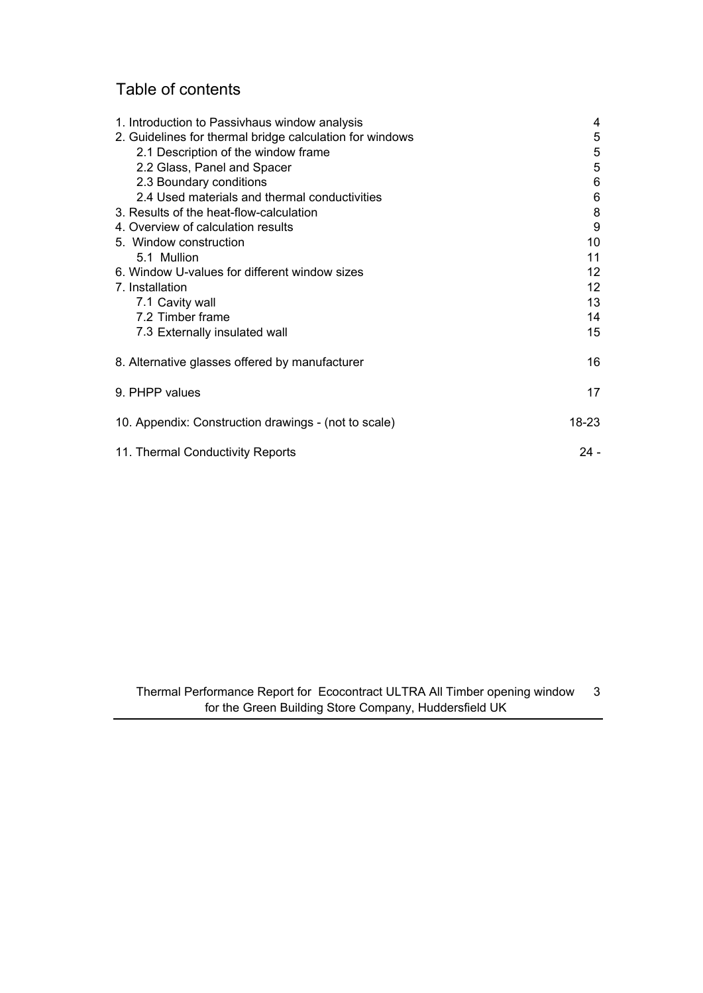## Table of contents

| 1. Introduction to Passivhaus window analysis            | 4      |
|----------------------------------------------------------|--------|
| 2. Guidelines for thermal bridge calculation for windows | 5      |
| 2.1 Description of the window frame                      | 5      |
| 2.2 Glass, Panel and Spacer                              | 5      |
| 2.3 Boundary conditions                                  | 6      |
| 2.4 Used materials and thermal conductivities            | 6      |
| 3. Results of the heat-flow-calculation                  | 8      |
| 4. Overview of calculation results                       | 9      |
| 5. Window construction                                   | 10     |
| 5.1 Mullion                                              | 11     |
| 6. Window U-values for different window sizes            | 12     |
| 7. Installation                                          | 12     |
| 7.1 Cavity wall                                          | 13     |
| 7.2 Timber frame                                         | 14     |
| 7.3 Externally insulated wall                            | 15     |
| 8. Alternative glasses offered by manufacturer           | 16     |
| 9. PHPP values                                           | 17     |
| 10. Appendix: Construction drawings - (not to scale)     | 18-23  |
| 11. Thermal Conductivity Reports                         | $24 -$ |

Thermal Performance Report for Ecocontract ULTRA All Timber opening window 3 for the Green Building Store Company, Huddersfield UK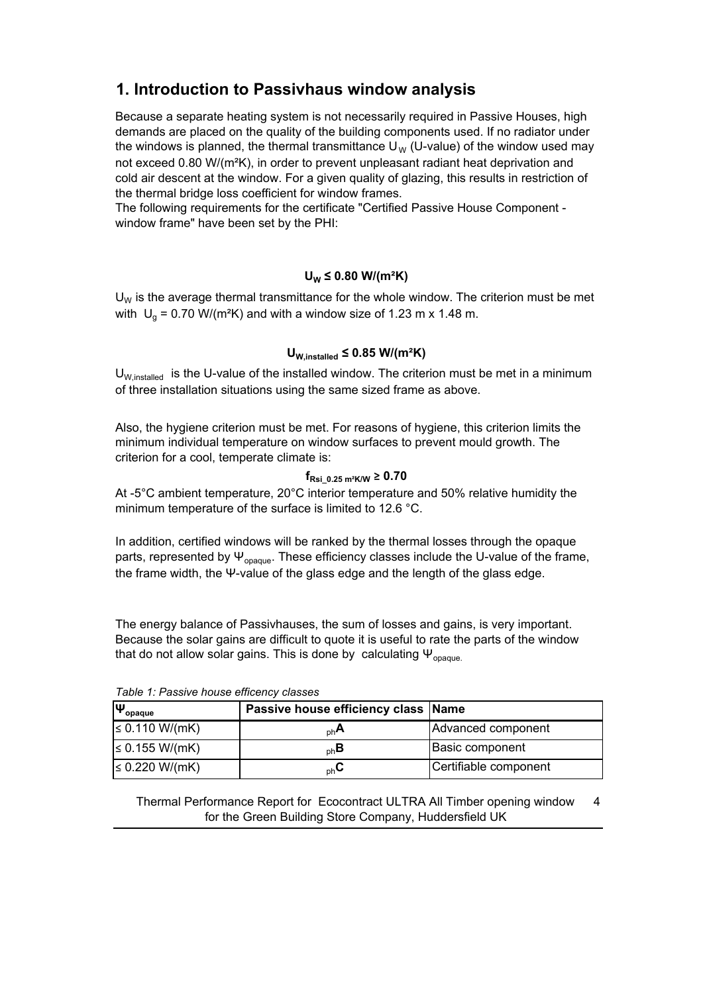## **1. Introduction to Passivhaus window analysis**

Because a separate heating system is not necessarily required in Passive Houses, high demands are placed on the quality of the building components used. If no radiator under the windows is planned, the thermal transmittance  $U_W$  (U-value) of the window used may not exceed 0.80 W/(m²K), in order to prevent unpleasant radiant heat deprivation and cold air descent at the window. For a given quality of glazing, this results in restriction of the thermal bridge loss coefficient for window frames.

The following requirements for the certificate "Certified Passive House Component window frame" have been set by the PHI:

#### **UW ≤ 0.80 W/(m²K)**

 $U_W$  is the average thermal transmittance for the whole window. The criterion must be met with  $\mathsf{U}_\mathsf{g}$  = 0.70 W/(m<sup>2</sup>K) and with a window size of 1.23 m x 1.48 m.

#### **UW,installed ≤ 0.85 W/(m²K)**

 $U_{W, \text{installed}}$  is the U-value of the installed window. The criterion must be met in a minimum of three installation situations using the same sized frame as above.

Also, the hygiene criterion must be met. For reasons of hygiene, this criterion limits the minimum individual temperature on window surfaces to prevent mould growth. The criterion for a cool, temperate climate is:

#### **fRsi\_0.25 m²K/W ≥ 0.70**

At -5 $\degree$ C ambient temperature, 20 $\degree$ C interior temperature and 50% relative humidity the minimum temperature of the surface is limited to 12.6 °C.

In addition, certified windows will be ranked by the thermal losses through the opaque parts, represented by  $\Psi_{\text{opaque}}$ . These efficiency classes include the U-value of the frame, the frame width, the Ψ-value of the glass edge and the length of the glass edge.

The energy balance of Passivhauses, the sum of losses and gains, is very important. Because the solar gains are difficult to quote it is useful to rate the parts of the window that do not allow solar gains. This is done by calculating  $\Psi_{\text{onaque}}$ .

| , abio , , , abonto nodoo omoono, olabooo<br>$\Psi_{\text{opaque}}$ | Passive house efficiency class Name |                       |  |
|---------------------------------------------------------------------|-------------------------------------|-----------------------|--|
| $\leq 0.110 W/(mK)$                                                 | $n h$ A                             | Advanced component    |  |
| $\leq 0.155$ W/(mK)                                                 | $_{\rm ph}$ B                       | Basic component       |  |
| $\leq$ 0.220 W/(mK)                                                 | $_{\rm ph}$ U                       | Certifiable component |  |

Table 1: Passive house efficency classes

Thermal Performance Report for Ecocontract ULTRA All Timber opening window 4 for the Green Building Store Company, Huddersfield UK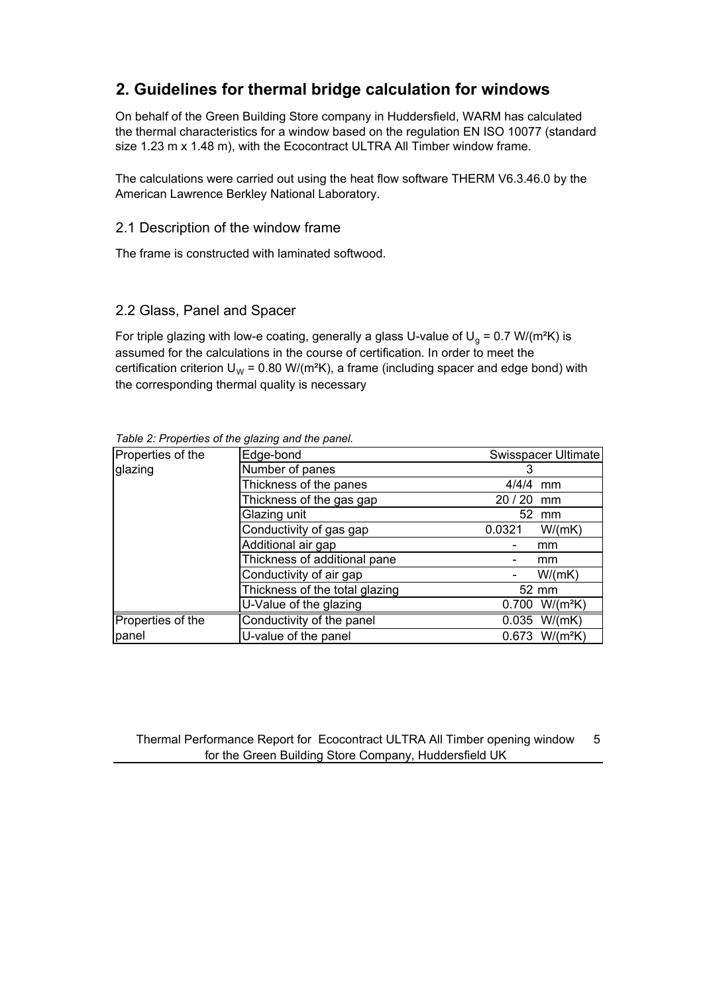## **2. Guidelines for thermal bridge calculation for windows**

On behalf of the Green Building Store company in Huddersfield, WARM has calculated the thermal characteristics for a window based on the regulation EN ISO 10077 (standard size 1.23 m x 1.48 m), with the Ecocontract ULTRA All Timber window frame.

The calculations were carried out using the heat flow software THERM V6.3.46.0 by the American Lawrence Berkley National Laboratory.

#### 2.1 Description of the window frame

The frame is constructed with laminated softwood.

#### 2.2 Glass, Panel and Spacer

For triple glazing with low-e coating, generally a glass U-value of U<sub>g</sub> = 0.7 W/(m<sup>2</sup>K) is assumed for the calculations in the course of certification. In order to meet the certification criterion  $U_w = 0.80 \text{ W/(m²K)}$ , a frame (including spacer and edge bond) with the corresponding thermal quality is necessary

| Properties of the | Edge-bond<br>Swisspacer Ultimate |                            |
|-------------------|----------------------------------|----------------------------|
| glazing           | Number of panes                  |                            |
|                   | Thickness of the panes           | 4/4/4<br>mm                |
|                   | Thickness of the gas gap         | 20/20<br>mm                |
|                   | Glazing unit                     | 52 mm                      |
|                   | Conductivity of gas gap          | 0.0321<br>W/(mK)           |
|                   | Additional air gap               | mm                         |
|                   | Thickness of additional pane     | mm                         |
|                   | Conductivity of air gap          | W/(mK)                     |
|                   | Thickness of the total glazing   | 52 mm                      |
|                   | U-Value of the glazing           | $W/(m^2K)$<br>0.700        |
| Properties of the | Conductivity of the panel        | $0.035$ W/(mK)             |
| panel             | U-value of the panel             | 0.673 W/(m <sup>2</sup> K) |

Table 2: Properties of the glazing and the panel.

Thermal Performance Report for Ecocontract ULTRA All Timber opening window 5 for the Green Building Store Company, Huddersfield UK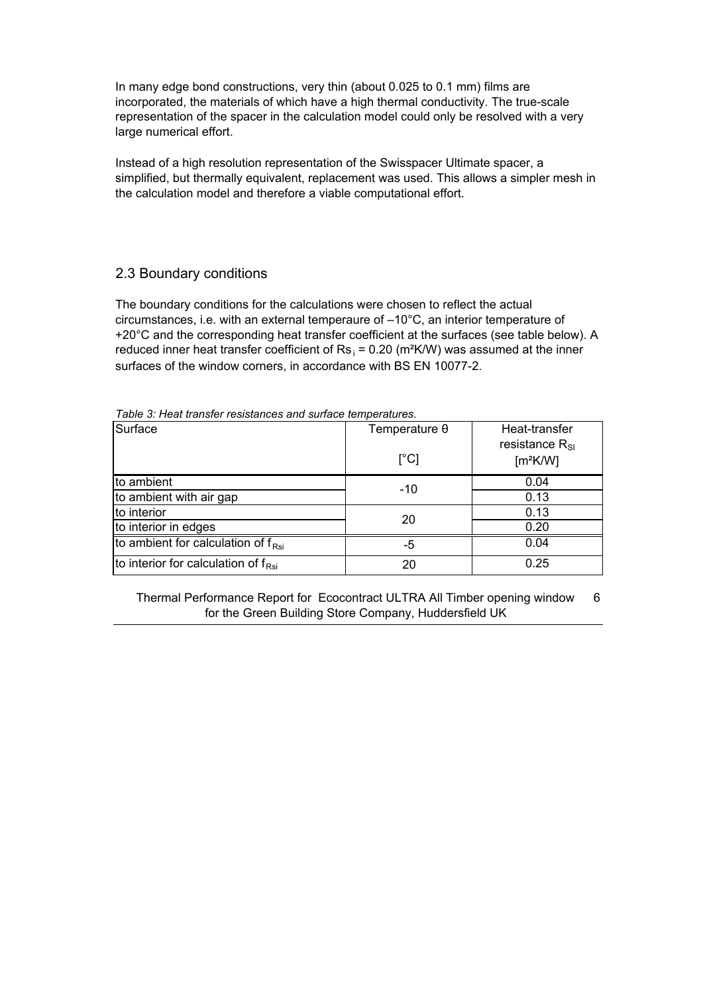In many edge bond constructions, very thin (about 0.025 to 0.1 mm) films are incorporated, the materials of which have a high thermal conductivity. The true-scale representation of the spacer in the calculation model could only be resolved with a very large numerical effort.

Instead of a high resolution representation of the Swisspacer Ultimate spacer, a simplified, but thermally equivalent, replacement was used. This allows a simpler mesh in the calculation model and therefore a viable computational effort.

#### 2.3 Boundary conditions

The boundary conditions for the calculations were chosen to reflect the actual circumstances, i.e. with an external temperaure of –10°C, an interior temperature of +20°C and the corresponding heat transfer coefficient at the surfaces (see table below). A reduced inner heat transfer coefficient of  $\text{Rs}_1$  = 0.20 (m<sup>2</sup>K/W) was assumed at the inner surfaces of the window corners, in accordance with BS EN 10077-2.

Table 3: Heat transfer resistances and surface temperatures.

| Surface                                         | Temperature $\theta$<br>$\lceil{^{\circ}C}\rceil$ | Heat-transfer<br>resistance $R_{\rm SI}$<br>[m <sup>2</sup> K/W] |
|-------------------------------------------------|---------------------------------------------------|------------------------------------------------------------------|
| to ambient                                      | $-10$                                             | 0.04                                                             |
| to ambient with air gap                         |                                                   | 0.13                                                             |
| to interior                                     | 20                                                | 0.13                                                             |
| to interior in edges                            |                                                   | 0.20                                                             |
| to ambient for calculation of $f_{\text{Rsi}}$  | -5                                                | 0.04                                                             |
| to interior for calculation of $f_{\text{Rsi}}$ | 20                                                | 0.25                                                             |

Thermal Performance Report for Ecocontract ULTRA All Timber opening window 6 for the Green Building Store Company, Huddersfield UK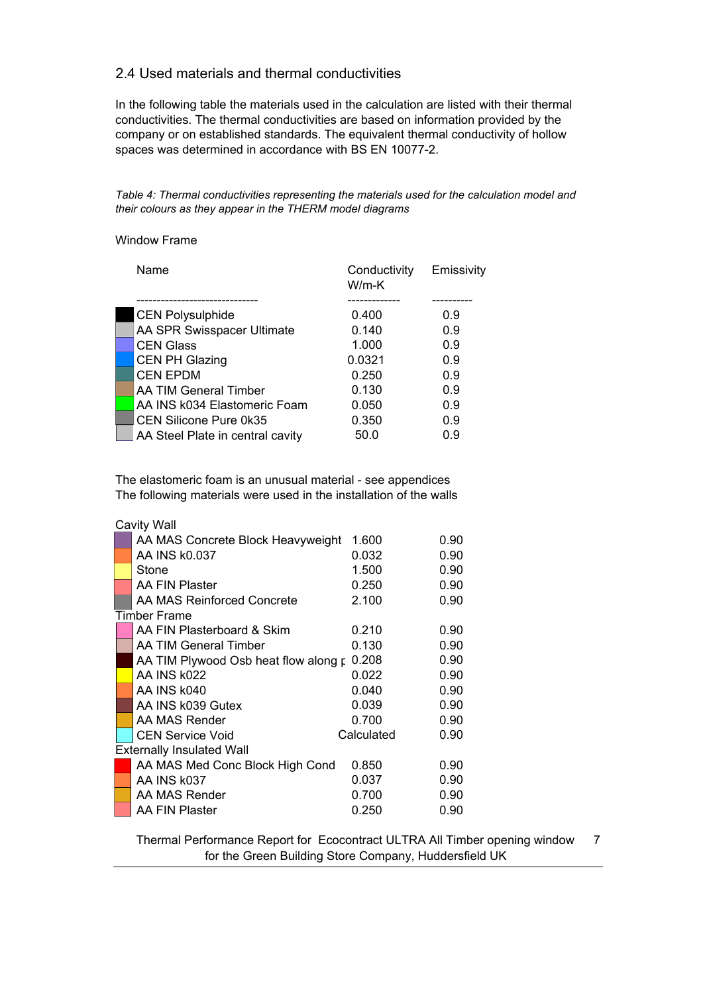#### 2.4 Used materials and thermal conductivities

In the following table the materials used in the calculation are listed with their thermal conductivities. The thermal conductivities are based on information provided by the company or on established standards. The equivalent thermal conductivity of hollow spaces was determined in accordance with BS EN 10077-2.

Table 4: Thermal conductivities representing the materials used for the calculation model and *their colours as they appear in the THERM model diagrams* 

#### Window Frame

| Name                             | Conductivity<br>$W/m-K$ | Emissivity |
|----------------------------------|-------------------------|------------|
|                                  |                         |            |
| <b>CEN Polysulphide</b>          | 0.400                   | 0.9        |
| AA SPR Swisspacer Ultimate       | 0.140                   | 0.9        |
| <b>CEN Glass</b>                 | 1.000                   | 0.9        |
| <b>CEN PH Glazing</b>            | 0.0321                  | 0.9        |
| <b>CEN EPDM</b>                  | 0.250                   | 0.9        |
| AA TIM General Timber            | 0.130                   | 0.9        |
| AA INS k034 Elastomeric Foam     | 0.050                   | 0.9        |
| CEN Silicone Pure 0k35           | 0.350                   | 0.9        |
| AA Steel Plate in central cavity | 50.0                    | 0.9        |

The elastomeric foam is an unusual material - see appendices The following materials were used in the installation of the walls

|  | Cavity Wall                          |            |      |
|--|--------------------------------------|------------|------|
|  | AA MAS Concrete Block Heavyweight    | 1.600      | 0.90 |
|  | AA INS k0.037                        | 0.032      | 0.90 |
|  | Stone                                | 1.500      | 0.90 |
|  | AA FIN Plaster                       | 0.250      | 0.90 |
|  | AA MAS Reinforced Concrete           | 2.100      | 0.90 |
|  | Timber Frame                         |            |      |
|  | AA FIN Plasterboard & Skim           | 0.210      | 0.90 |
|  | AA TIM General Timber                | 0.130      | 0.90 |
|  | AA TIM Plywood Osb heat flow along p | 0.208      | 0.90 |
|  | AA INS k022                          | 0.022      | 0.90 |
|  | AA INS k040                          | 0.040      | 0.90 |
|  | AA INS k039 Gutex                    | 0.039      | 0.90 |
|  | AA MAS Render                        | 0.700      | 0.90 |
|  | <b>CEN Service Void</b>              | Calculated | 0.90 |
|  | <b>Externally Insulated Wall</b>     |            |      |
|  | AA MAS Med Conc Block High Cond      | 0.850      | 0.90 |
|  | AA INS k037                          | 0.037      | 0.90 |
|  | AA MAS Render                        | 0.700      | 0.90 |
|  | AA FIN Plaster                       | 0.250      | 0.90 |

Thermal Performance Report for Ecocontract ULTRA All Timber opening window 7 for the Green Building Store Company, Huddersfield UK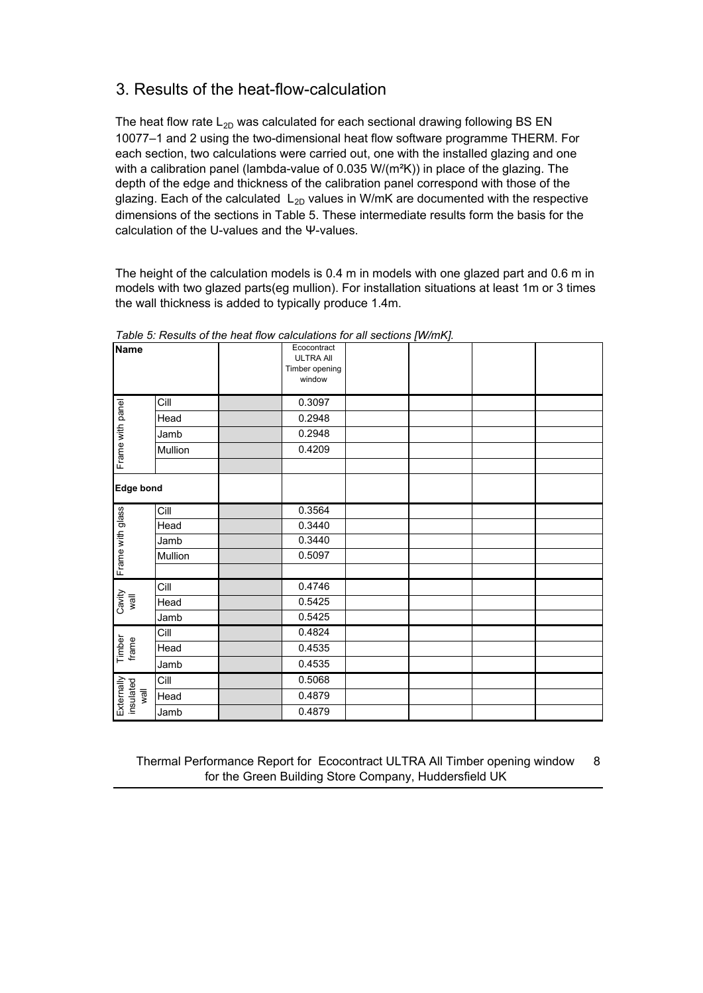## 3. Results of the heat-flow-calculation

The heat flow rate  $L_{2D}$  was calculated for each sectional drawing following BS EN 10077–1 and 2 using the two-dimensional heat flow software programme THERM. For each section, two calculations were carried out, one with the installed glazing and one with a calibration panel (lambda-value of 0.035 W/( $m<sup>2</sup>K$ )) in place of the glazing. The depth of the edge and thickness of the calibration panel correspond with those of the glazing. Each of the calculated  $L_{2D}$  values in W/mK are documented with the respective dimensions of the sections in Table 5. These intermediate results form the basis for the calculation of the U-values and the Ψ-values.

The height of the calculation models is 0.4 m in models with one glazed part and 0.6 m in models with two glazed parts(eg mullion). For installation situations at least 1m or 3 times the wall thickness is added to typically produce 1.4m.

| <b>Name</b>              |         | Ecocontract<br><b>ULTRA AII</b><br>Timber opening<br>window |  |  |
|--------------------------|---------|-------------------------------------------------------------|--|--|
|                          | Cill    | 0.3097                                                      |  |  |
|                          | Head    | 0.2948                                                      |  |  |
|                          | Jamb    | 0.2948                                                      |  |  |
| Frame with panel         | Mullion | 0.4209                                                      |  |  |
|                          |         |                                                             |  |  |
| <b>Edge bond</b>         |         |                                                             |  |  |
|                          | Cill    | 0.3564                                                      |  |  |
|                          | Head    | 0.3440                                                      |  |  |
|                          | Jamb    | 0.3440                                                      |  |  |
| Frame with glass         | Mullion | 0.5097                                                      |  |  |
|                          |         |                                                             |  |  |
|                          | Cill    | 0.4746                                                      |  |  |
| Cavity<br>wall           | Head    | 0.5425                                                      |  |  |
|                          | Jamb    | 0.5425                                                      |  |  |
|                          | Cill    | 0.4824                                                      |  |  |
| Timber<br>frame          | Head    | 0.4535                                                      |  |  |
|                          | Jamb    | 0.4535                                                      |  |  |
|                          | Cill    | 0.5068                                                      |  |  |
| $\overline{\mathsf{ll}}$ | Head    | 0.4879                                                      |  |  |
| Externally<br>insulated  | Jamb    | 0.4879                                                      |  |  |

*Table 5: Results of the heat flow calculations for all sections [W/mK].* 

Thermal Performance Report for Ecocontract ULTRA All Timber opening window 8 for the Green Building Store Company, Huddersfield UK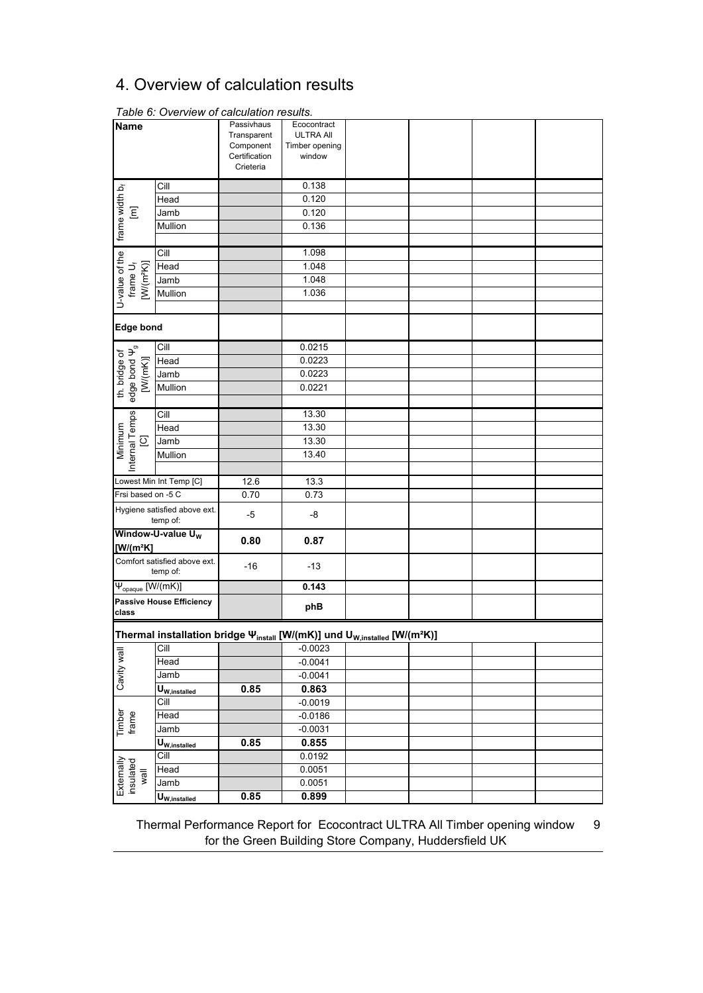## 4. Overview of calculation results

| <b>Name</b>                           |                                                                                                   | Passivhaus    | Ecocontract      |  |  |
|---------------------------------------|---------------------------------------------------------------------------------------------------|---------------|------------------|--|--|
|                                       |                                                                                                   | Transparent   | <b>ULTRA AII</b> |  |  |
|                                       |                                                                                                   | Component     | Timber opening   |  |  |
|                                       |                                                                                                   | Certification | window           |  |  |
|                                       |                                                                                                   | Crieteria     |                  |  |  |
|                                       | Cill                                                                                              |               | 0.138            |  |  |
|                                       | Head                                                                                              |               | 0.120            |  |  |
| $\overline{\Xi}$                      | Jamb                                                                                              |               | 0.120            |  |  |
|                                       | Mullion                                                                                           |               | 0.136            |  |  |
| frame width b <sub>f</sub>            |                                                                                                   |               |                  |  |  |
|                                       | Cill                                                                                              |               | 1.098            |  |  |
|                                       | Head                                                                                              |               | 1.048            |  |  |
|                                       | Jamb                                                                                              |               | 1.048            |  |  |
| $[W/(m^2K)]$                          |                                                                                                   |               |                  |  |  |
| U-value of the<br>frame $U_f$         | Mullion                                                                                           |               | 1.036            |  |  |
|                                       |                                                                                                   |               |                  |  |  |
| <b>Edge bond</b>                      |                                                                                                   |               |                  |  |  |
|                                       |                                                                                                   |               |                  |  |  |
| th. bridge of<br>edge bond $\Psi_{9}$ | Cill                                                                                              |               | 0.0215           |  |  |
| [W(mK)]                               | Head                                                                                              |               | 0.0223           |  |  |
|                                       | Jamb                                                                                              |               | 0.0223           |  |  |
|                                       | Mullion                                                                                           |               | 0.0221           |  |  |
|                                       |                                                                                                   |               |                  |  |  |
| Internal Temps                        | Cill                                                                                              |               | 13.30            |  |  |
| Minimum                               | Head                                                                                              |               | 13.30            |  |  |
| $\overline{\omega}$                   | Jamb                                                                                              |               | 13.30            |  |  |
|                                       | Mullion                                                                                           |               | 13.40            |  |  |
|                                       |                                                                                                   |               |                  |  |  |
|                                       | Lowest Min Int Temp [C]                                                                           | 12.6          | 13.3             |  |  |
| Frsi based on -5 C                    |                                                                                                   | 0.70          | 0.73             |  |  |
|                                       | Hygiene satisfied above ext.                                                                      |               |                  |  |  |
|                                       | temp of:                                                                                          | -5            | -8               |  |  |
|                                       | Window-U-value U <sub>W</sub>                                                                     |               |                  |  |  |
| $[W/(m^2K)]$                          |                                                                                                   | 0.80          | 0.87             |  |  |
|                                       | Comfort satisfied above ext.                                                                      |               |                  |  |  |
|                                       | temp of:                                                                                          | $-16$         | $-13$            |  |  |
| $\Psi_{\text{opaque}}$ [W/(mK)]       |                                                                                                   |               | 0.143            |  |  |
|                                       | <b>Passive House Efficiency</b>                                                                   |               |                  |  |  |
| class                                 |                                                                                                   |               | phB              |  |  |
|                                       |                                                                                                   |               |                  |  |  |
|                                       | Thermal installation bridge \mustall [W/(mK)] und U <sub>W,installed</sub> [W/(m <sup>2</sup> K)] |               |                  |  |  |
|                                       | Cill                                                                                              |               | $-0.0023$        |  |  |
| Cavity wal                            | Head                                                                                              |               | $-0.0041$        |  |  |
|                                       | Jamb                                                                                              |               | $-0.0041$        |  |  |
|                                       | $U_{W, \text{instead}}$                                                                           | 0.85          | 0.863            |  |  |
|                                       | Cill                                                                                              |               | $-0.0019$        |  |  |
| Timber<br>frame                       | Head                                                                                              |               | $-0.0186$        |  |  |
|                                       | Jamb                                                                                              |               | $-0.0031$        |  |  |
|                                       | $U_{W, \text{instead}}$                                                                           | 0.85          | 0.855            |  |  |
|                                       | Cill                                                                                              |               | 0.0192           |  |  |
|                                       | Head                                                                                              |               | 0.0051           |  |  |
| Externally<br>insulated<br>Wall       | Jamb                                                                                              |               | 0.0051           |  |  |
|                                       | U <sub>W,installed</sub>                                                                          | 0.85          | 0.899            |  |  |
|                                       |                                                                                                   |               |                  |  |  |

Table 6: Overview of calculation results.

Thermal Performance Report for Ecocontract ULTRA All Timber opening window 9 for the Green Building Store Company, Huddersfield UK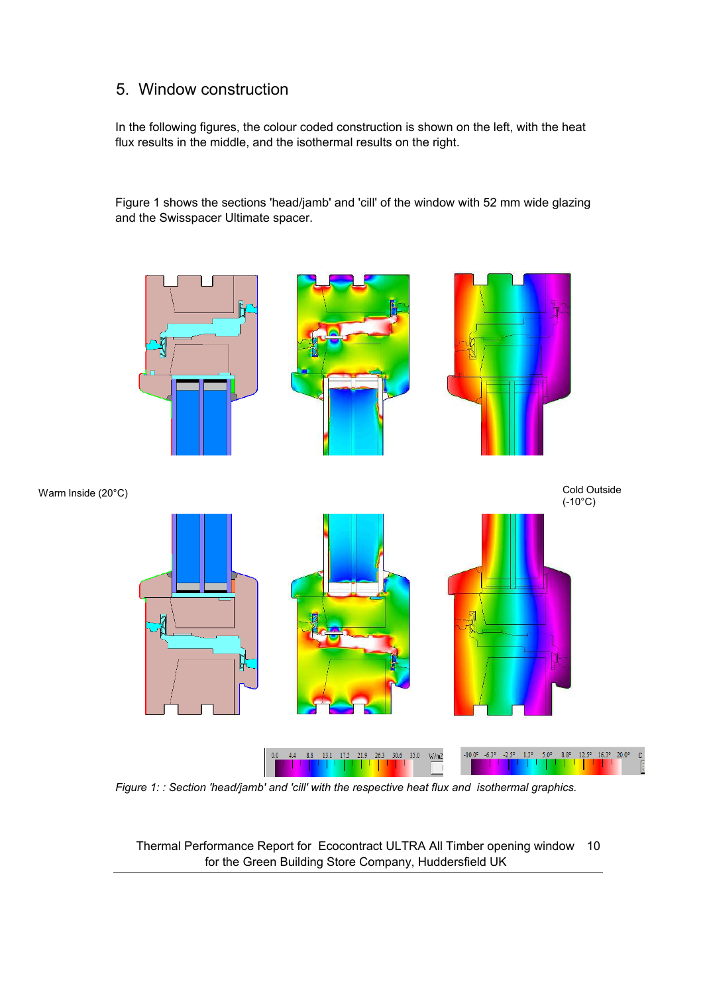## 5. Window construction

In the following figures, the colour coded construction is shown on the left, with the heat flux results in the middle, and the isothermal results on the right.

Figure 1 shows the sections 'head/jamb' and 'cill' of the window with 52 mm wide glazing and the Swisspacer Ultimate spacer.



*Figure 1: : Section 'head/jamb' and 'cill' with the respective heat flux and isothermal graphics.* 

Thermal Performance Report for Ecocontract ULTRA All Timber opening window 10 for the Green Building Store Company, Huddersfield UK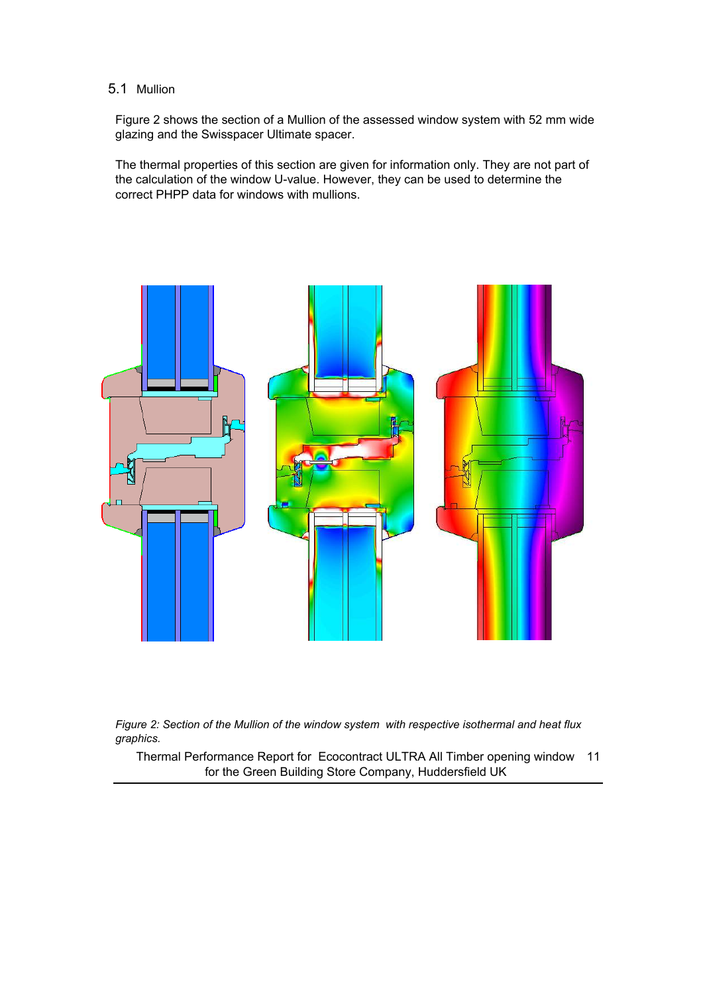#### 5.1 Mullion

Figure 2 shows the section of a Mullion of the assessed window system with 52 mm wide glazing and the Swisspacer Ultimate spacer.

The thermal properties of this section are given for information only. They are not part of the calculation of the window U-value. However, they can be used to determine the correct PHPP data for windows with mullions.





Thermal Performance Report for Ecocontract ULTRA All Timber opening window 11 for the Green Building Store Company, Huddersfield UK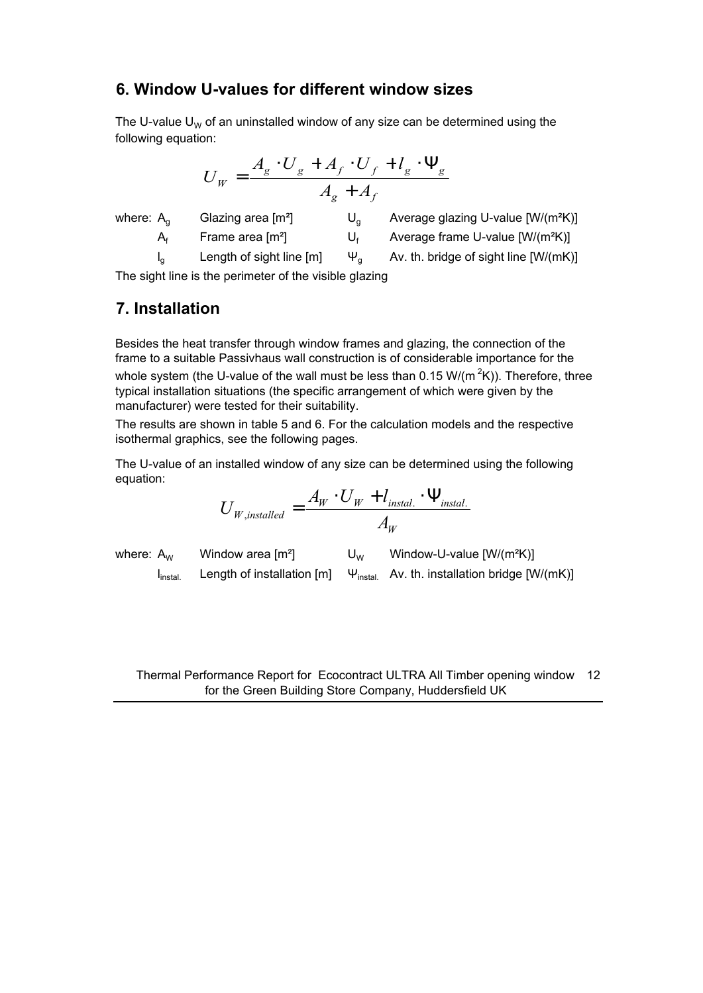### **6. Window U-values for different window sizes**

The U-value U<sub>W</sub> of an uninstalled window of any size can be determined using the following equation:

$$
U_W = \frac{A_g \cdot U_g + A_f \cdot U_f + l_g \cdot \Psi_g}{A_g + A_f}
$$

where: A<sub>g</sub> Glazing area  $[m^2]$  U<sub>g</sub> Average glazing U-value  $[W/(m^2K)]$  $A_f$  Frame area [m<sup>2</sup>] U<sub>f</sub> Average frame U-value [W/(m<sup>2</sup>K)]  $I_0$  Length of sight line  $[m]$   $\Psi_a$  Av. th. bridge of sight line  $[W/(mK)]$ 

The sight line is the perimeter of the visible glazing

## **7. Installation**

Besides the heat transfer through window frames and glazing, the connection of the frame to a suitable Passivhaus wall construction is of considerable importance for the whole system (the U-value of the wall must be less than 0.15 W/(m<sup>2</sup>K)). Therefore, three typical installation situations (the specific arrangement of which were given by the manufacturer) were tested for their suitability.

The results are shown in table 5 and 6. For the calculation models and the respective isothermal graphics, see the following pages.

The U-value of an installed window of any size can be determined using the following equation:

$$
U_{W, \text{instead}} = \frac{A_W \cdot U_W + l_{\text{install.}} \cdot \Psi_{\text{install.}}}{A_W}
$$

where:  $A_W$  Window area  $[m^2]$  U<sub>W</sub> Window-U-value  $[W/(m^2K)]$  $I<sub>instal</sub>$ Length of installation [m]  $\Psi_{\text{instal}}$  Av. th. installation bridge [W/(mK)]

Thermal Performance Report for Ecocontract ULTRA All Timber opening window 12 for the Green Building Store Company, Huddersfield UK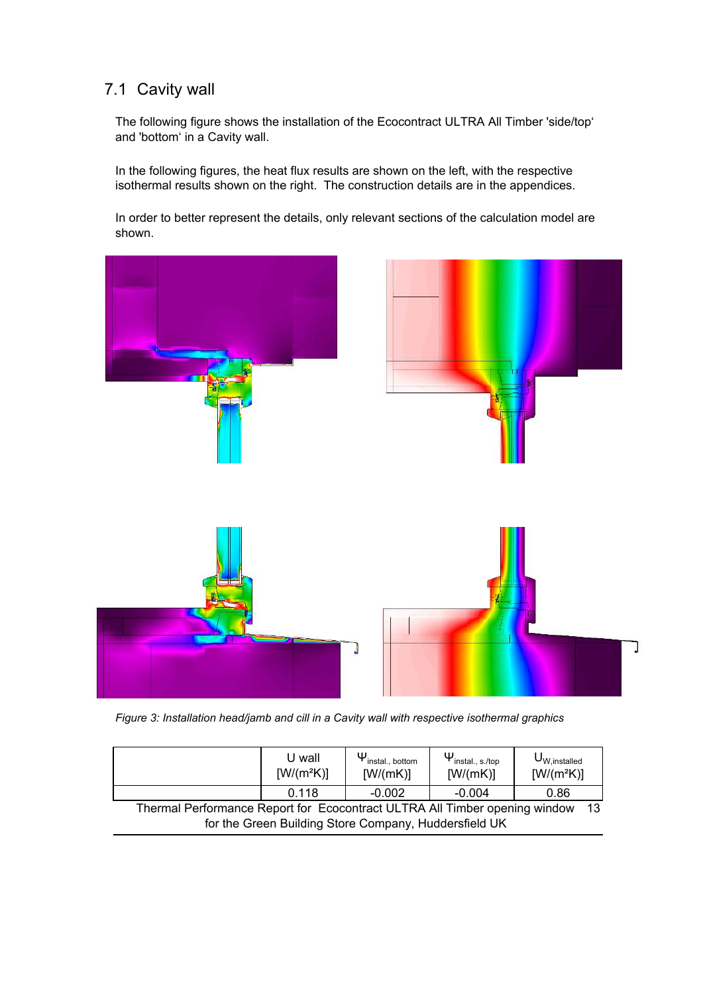## 7.1 Cavity wall

The following figure shows the installation of the Ecocontract ULTRA All Timber 'side/top' and 'bottom' in a Cavity wall.

In the following figures, the heat flux results are shown on the left, with the respective isothermal results shown on the right. The construction details are in the appendices.

In order to better represent the details, only relevant sections of the calculation model are shown.



*Figure 3: Installation head/jamb and cill in a Cavity wall with respective isothermal graphics* 

|                                                                                     | U wall<br>$[W/(m^2K)]$ | $\Psi_{\text{install., bottom}}$<br>[W/(mK)] | $\Psi_{\mathsf{install.}, \, \mathsf{s}.\mathsf{/top}}$<br>[W/(mK)] | $U_{W, \text{installed}}$<br>$[W/(m^2K)]$ |
|-------------------------------------------------------------------------------------|------------------------|----------------------------------------------|---------------------------------------------------------------------|-------------------------------------------|
|                                                                                     | 0.118                  | $-0.002$                                     | $-0.004$                                                            | 0.86                                      |
| Thermal Performance Report for Ecocontract ULTRA All Timber opening window<br>$-13$ |                        |                                              |                                                                     |                                           |
| for the Green Building Store Company, Huddersfield UK                               |                        |                                              |                                                                     |                                           |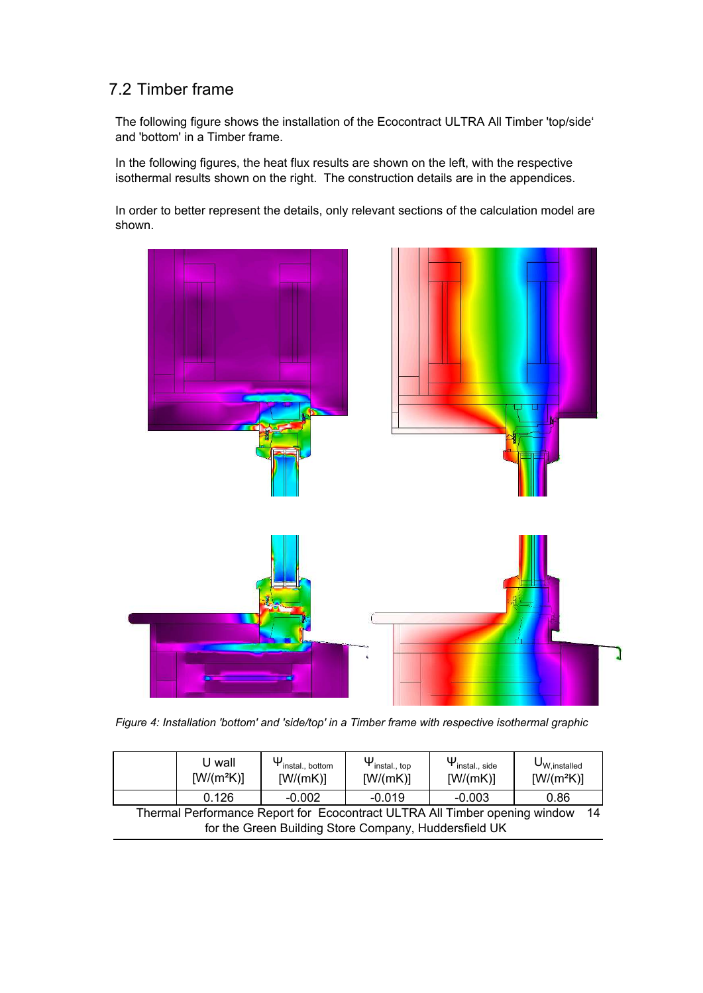## 7.2 Timber frame

The following figure shows the installation of the Ecocontract ULTRA All Timber 'top/side' and 'bottom' in a Timber frame.

In the following figures, the heat flux results are shown on the left, with the respective isothermal results shown on the right. The construction details are in the appendices.

In order to better represent the details, only relevant sections of the calculation model are shown.



Figure 4: Installation 'bottom' and 'side/top' in a Timber frame with respective isothermal graphic

|                                                                                   | U wall<br>$[W/(m^2K)]$ | $\Psi_{\text{install., bottom}}$<br>[W/(mK)] | $\Psi_{\mathsf{install.},\,\mathsf{top}}$<br>[W/(mK)] | $\Psi_{\mathsf{install.}, \mathsf{side}}$<br>[W/(mK)] | $U_{W, \text{installed}}$<br>$[W/(m^2K)]$ |
|-----------------------------------------------------------------------------------|------------------------|----------------------------------------------|-------------------------------------------------------|-------------------------------------------------------|-------------------------------------------|
|                                                                                   | 0.126                  | $-0.002$                                     | $-0.019$                                              | $-0.003$                                              | 0.86                                      |
| Thermal Performance Report for Ecocontract ULTRA All Timber opening window<br>-14 |                        |                                              |                                                       |                                                       |                                           |
| for the Green Building Store Company, Huddersfield UK                             |                        |                                              |                                                       |                                                       |                                           |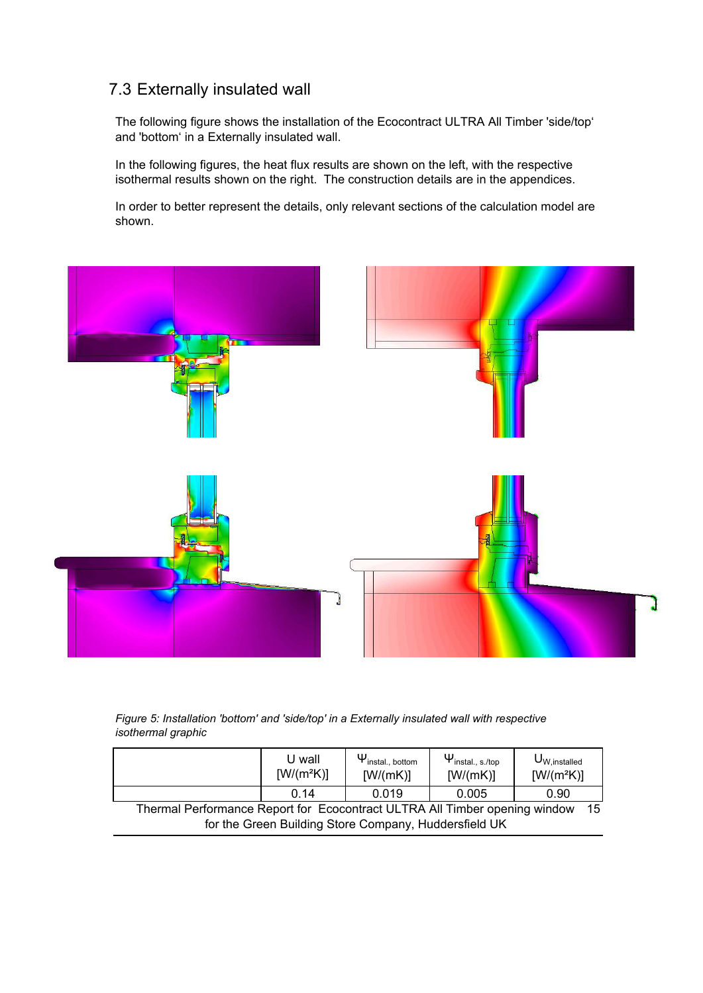## 7.3 Externally insulated wall

The following figure shows the installation of the Ecocontract ULTRA All Timber 'side/top' and 'bottom' in a Externally insulated wall.

In the following figures, the heat flux results are shown on the left, with the respective isothermal results shown on the right. The construction details are in the appendices.

In order to better represent the details, only relevant sections of the calculation model are shown.



Figure 5: Installation 'bottom' and 'side/top' in a Externally insulated wall with respective  *--* 

|                                                                                   | U wall<br>$[W/(m^2K)]$ | $\Psi_{\text{install., bottom}}$<br>[W/(mK)] | $\Psi_{\mathsf{install.}, \, \mathsf{s}.\mathsf{/top}}$<br>[W/(mK)] | $U_{W, \text{installed}}$<br>$[W/(m^2K)]$ |
|-----------------------------------------------------------------------------------|------------------------|----------------------------------------------|---------------------------------------------------------------------|-------------------------------------------|
|                                                                                   | 0.14                   | 0.019                                        | 0.005                                                               | 0.90                                      |
| Thermal Performance Report for Ecocontract ULTRA All Timber opening window<br>-15 |                        |                                              |                                                                     |                                           |
| for the Green Building Store Company, Huddersfield UK                             |                        |                                              |                                                                     |                                           |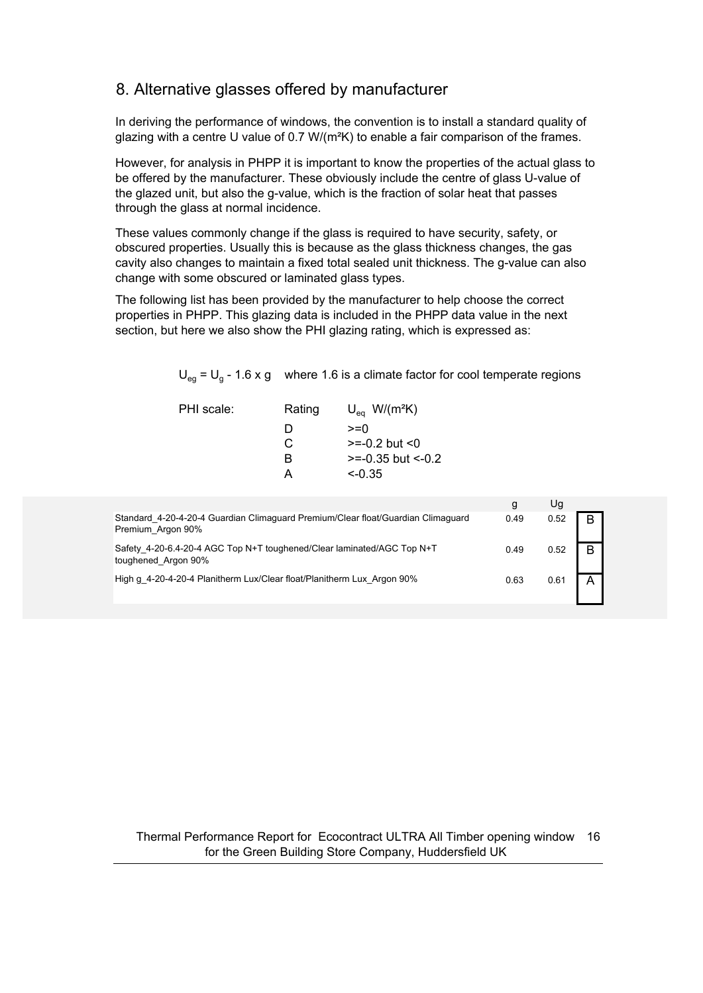## 8. Alternative glasses offered by manufacturer

In deriving the performance of windows, the convention is to install a standard quality of glazing with a centre U value of 0.7  $W/(m^2K)$  to enable a fair comparison of the frames.

However, for analysis in PHPP it is important to know the properties of the actual glass to be offered by the manufacturer. These obviously include the centre of glass U-value of the glazed unit, but also the g-value, which is the fraction of solar heat that passes through the glass at normal incidence.

These values commonly change if the glass is required to have security, safety, or obscured properties. Usually this is because as the glass thickness changes, the gas cavity also changes to maintain a fixed total sealed unit thickness. The g-value can also change with some obscured or laminated glass types.

The following list has been provided by the manufacturer to help choose the correct properties in PHPP. This glazing data is included in the PHPP data value in the next section, but here we also show the PHI glazing rating, which is expressed as:

 $U_{eg}$  = U<sub>g</sub> - 1.6 x g where 1.6 is a climate factor for cool temperate regions

| PHI scale: | Rating | $U_{\text{eq}}$ W/(m <sup>2</sup> K) |
|------------|--------|--------------------------------------|
|            | D      | $>=0$                                |
|            | C      | $>= -0.2$ but $< 0$                  |
|            | R      | $>= -0.35$ but $<-0.2$               |
|            | А      | $\leq$ 0.35                          |
|            |        |                                      |

|                                                                                                       | g    | Ug   |   |
|-------------------------------------------------------------------------------------------------------|------|------|---|
| Standard 4-20-4-20-4 Guardian Climaguard Premium/Clear float/Guardian Climaguard<br>Premium Argon 90% | 0.49 | 0.52 | B |
| Safety 4-20-6.4-20-4 AGC Top N+T toughened/Clear laminated/AGC Top N+T<br>toughened Argon 90%         | 0.49 | 0.52 | B |
| High g 4-20-4-20-4 Planitherm Lux/Clear float/Planitherm Lux Argon 90%                                | 0.63 | 0.61 |   |

#### Thermal Performance Report for Ecocontract ULTRA All Timber opening window 16 for the Green Building Store Company, Huddersfield UK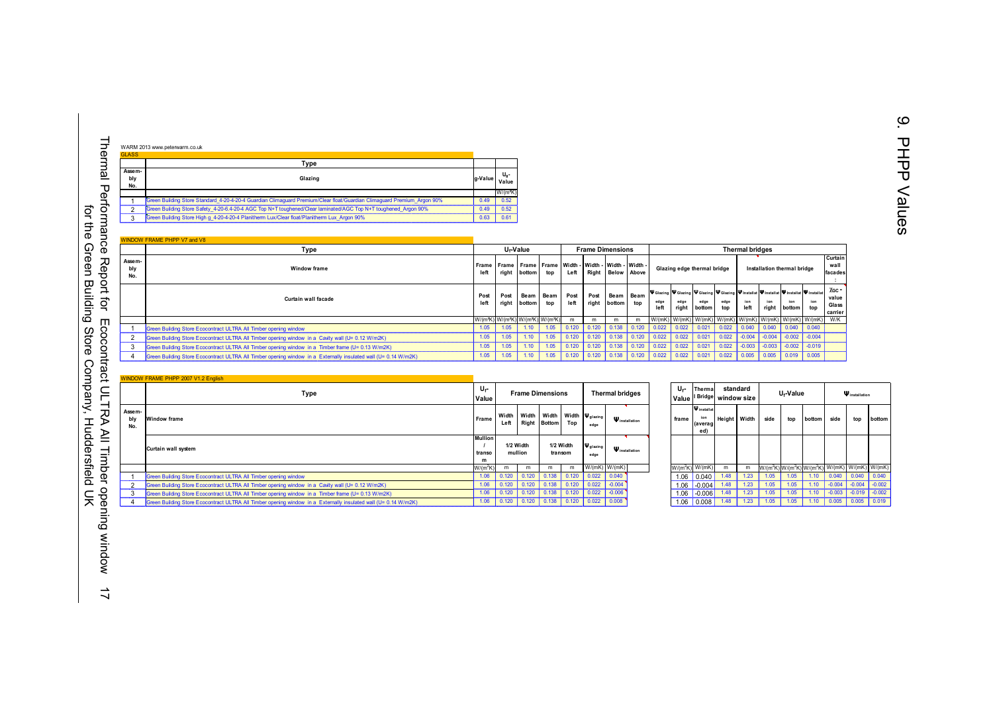| <b>GLASS</b>         |                                                                                                                         |         |                      |
|----------------------|-------------------------------------------------------------------------------------------------------------------------|---------|----------------------|
|                      | Type                                                                                                                    |         |                      |
| Assem-<br>bly<br>No. | Glazing                                                                                                                 | g-Value | U.<br>Value          |
|                      |                                                                                                                         |         | W/(m <sup>2</sup> K) |
|                      | Green Building Store Standard 4-20-4-20-4 Guardian Climaguard Premium/Clear float/Guardian Climaguard Premium Argon 90% | 0.49    | 0.52                 |
|                      | Green Building Store Safety 4-20-6.4-20-4 AGC Top N+T toughened/Clear laminated/AGC Top N+T toughened Argon 90%         | 0.49    | 0.52                 |
| ∘                    | Green Building Store High g 4-20-4-20-4 Planitherm Lux/Clear float/Planitherm Lux Argon 90%                             | 0.63    | 0.61                 |

|                      | <b>WINDOW FRAME PHPP V7 and V8</b>                                                                              |               |      |                                                                                     |             |              |                         |                     |       |              |                                                                                                          |                |             |                        |          |                                                                                                              |            |                                    |
|----------------------|-----------------------------------------------------------------------------------------------------------------|---------------|------|-------------------------------------------------------------------------------------|-------------|--------------|-------------------------|---------------------|-------|--------------|----------------------------------------------------------------------------------------------------------|----------------|-------------|------------------------|----------|--------------------------------------------------------------------------------------------------------------|------------|------------------------------------|
|                      | Type                                                                                                            |               |      | U <sub>f</sub> -Value                                                               |             |              | <b>Frame Dimensions</b> |                     |       |              |                                                                                                          |                |             | <b>Thermal bridges</b> |          |                                                                                                              |            |                                    |
| Assem-<br>bly<br>No. | <b>Window frame</b>                                                                                             | Frame<br>left |      | Frame   Frame   Frame   Width -   Width -   Width -   Width -<br>right bottom       | top         | Left         |                         | Right Below Above   |       |              | Glazing edge thermal bridge                                                                              |                |             |                        |          | Installation thermal bridge                                                                                  |            | Curtain<br>wall<br>facades         |
|                      | Curtain wall facade                                                                                             | Post<br>left  | Post | Beam<br>right bottom                                                                | Beam<br>top | Post<br>left | Post<br>right           | Beam Beam<br>bottom | top   | edge<br>left | V Glazing V Glazing V Glazing V Glazing V Installat V Installat V Installat V Installat<br>edge<br>right | edge<br>bottom | edge<br>top | ion<br>left            | ion      | ion<br>right bottom                                                                                          | ion<br>top | Хес -<br>value<br>Glass<br>carrier |
|                      |                                                                                                                 |               |      | W/(m <sup>2</sup> K) W/(m <sup>2</sup> K) W/(m <sup>2</sup> K) W/(m <sup>2</sup> K) |             |              |                         |                     | m     |              | W/(mK)   W/(mK)   W/(mK)   W/(mK)   W/(mK)   W/(mK)   W/(mK)   W/(mK)   W/K                              |                |             |                        |          |                                                                                                              |            |                                    |
|                      | Green Building Store Ecocontract ULTRA All Timber opening window                                                | 1.05          | 1.05 | 1.10                                                                                | 1.05        | 0.120        | 0.120                   | 0.138               | 0.120 | 0.022        | 0.022                                                                                                    | 0.021          | 0.022       | 0.040                  | 0.040    | 0.040                                                                                                        | 0.040      |                                    |
|                      | Green Building Store Ecocontract ULTRA All Timber opening window in a Cavity wall (U= 0.12 W/m2K)               | 1.05          | 1.05 | 1.10                                                                                | 1.05        | 0.120        | 0.120                   | 0.138               | 0.120 | 0.022        | 0.022                                                                                                    | 0.021          | 0.022       | $-0.004$               |          | $\begin{array}{ c c c c c c c c c } \hline \text{-.0004} & \text{-0.004} & \text{-0.004} \hline \end{array}$ |            |                                    |
|                      | Green Building Store Ecocontract ULTRA All Timber opening window in a Timber frame (U= 0.13 W/m2K)              | 1.05          | 1.05 | .10                                                                                 | 1.05        | 0.120        | 0.120                   | 0.138               | 0.120 | 0.022        | 0.022                                                                                                    | 0.021          | 0.022       | $-0.003$               | $-0.003$ | $-0.002$                                                                                                     | $-0.019$   |                                    |
|                      | Green Building Store Ecocontract ULTRA All Timber opening window in a Externally insulated wall (U= 0.14 W/m2K) | 1.05          | 1.05 | 1.10                                                                                | 1.05        | 0.120        | 0.120                   | 0.138               | 0.120 | 0.022        | 0.022                                                                                                    | 0.021          | 0.022       | 0.005                  | 0.005    | 0.019                                                                                                        | 0.005      |                                    |

|                      | WINDOW FRAME PHPP 2007 V1.2 English                                                                             |                           |                      |       |                         |       |                                                                 |                        |                |                                              |                                  |       |      |                       |                                                                                    |          |                       |          |
|----------------------|-----------------------------------------------------------------------------------------------------------------|---------------------------|----------------------|-------|-------------------------|-------|-----------------------------------------------------------------|------------------------|----------------|----------------------------------------------|----------------------------------|-------|------|-----------------------|------------------------------------------------------------------------------------|----------|-----------------------|----------|
|                      | Type                                                                                                            | U <sub>f</sub> -<br>Value |                      |       | <b>Frame Dimensions</b> |       |                                                                 | <b>Thermal bridges</b> | U۰-<br>l Value | Therma                                       | standard<br>I Bridge window size |       |      | U <sub>f</sub> -Value |                                                                                    |          | <b>W</b> installation |          |
| Assem-<br>bly<br>No. | Window frame                                                                                                    | Frame                     | Left                 |       | Right Bottom            | Top   | Width   Width   Width   Width $ \Psi_{\text{glazing}} $<br>edge | $\Psi$ installation    | frame          | <b>W</b> installat<br>ion<br>(averag)<br>ed) | Height                           | Width | side | top                   | bottom                                                                             | side     | top                   | botton   |
|                      | Curtain wall system                                                                                             | <b>Mullion</b><br>transo  | 1/2 Width<br>mullion |       | 1/2 Width<br>transom    |       | <b>W</b> glazing<br>edge                                        | $\Psi$ installation    |                |                                              |                                  |       |      |                       |                                                                                    |          |                       |          |
|                      |                                                                                                                 | W/(m <sup>2</sup> K)      | m                    | m     | m                       | m     |                                                                 | W/(mK) W/(mK)          |                | $W/(m^2K)$ W/(mK)                            | m                                | m     |      |                       | W/(m <sup>2</sup> K) W/(m <sup>2</sup> K) W/(m <sup>2</sup> K) W/(mK) W/(mK) W/(mK |          |                       |          |
|                      | Green Building Store Ecocontract ULTRA All Timber opening window                                                | 1.06                      | 0.120                | 0.120 | 0.138                   | 0.120 | 0.022                                                           | 0.040                  |                | $1.06$ 0.040                                 | 1.48                             | 1.23  |      |                       |                                                                                    | 0.040    | 0.040                 | 0.040    |
|                      | Green Building Store Ecocontract ULTRA All Timber opening window in a Cavity wall (U= 0.12 W/m2K)               | 1.06                      | 0.120                | 0.120 | 0.138                   | 0.120 | 0.022                                                           | $-0.004$               |                | $1.06$ $\mid$ -0.004                         | 1.48                             | 1.23  |      | 1.05                  | 1.10                                                                               | $-0.004$ | $-0.004$              | $-0.002$ |
|                      | Green Building Store Ecocontract ULTRA All Timber opening window in a Timber frame (U= 0.13 W/m2K)              | 1.06                      | 0.120                | 0.120 | 0.138                   | 0.120 | 0.022                                                           | $-0.006$               |                | $1.06$ $-0.006$                              | 1.48                             | 1.23  | 1.05 | 1.05                  | 1.10                                                                               | $-0.003$ | $-0.019$              | $-0.002$ |
|                      | Green Building Store Ecocontract ULTRA All Timber opening window in a Externally insulated wall (U= 0.14 W/m2K) | 1.06                      | 0.120                | 0.120 | 0.138                   | 0.120 | 0.022                                                           | 0.008                  |                | $1.06$ 0.008                                 | 1.48                             | 1.23  | 1.05 | 1.05                  | 1.10                                                                               | 0.005    | 0.005                 | 0.019    |

| U <sub>f</sub> -<br>Value |               |                | <b>Frame Dimensions</b> |                      |                          | <b>Thermal bridges</b> | Uf-<br>Value | Therma<br><b>Bridge</b>                      |               | standard<br>window size |      | U <sub>f</sub> -Value                                       |        |          | <b>W</b> installation |
|---------------------------|---------------|----------------|-------------------------|----------------------|--------------------------|------------------------|--------------|----------------------------------------------|---------------|-------------------------|------|-------------------------------------------------------------|--------|----------|-----------------------|
|                           | Width<br>Left | Width<br>Right | Width<br><b>Bottom</b>  | Width<br>Top         | <b>W</b> glazing<br>edge | $\Psi$ installation    | frame        | <b>W</b> installat<br>ion<br>(averag)<br>ed) | <b>Height</b> | Width                   | side | top                                                         | bottom | side     | top                   |
| <b>Mullion</b>            |               |                |                         |                      | <b>W</b> glazing         |                        |              |                                              |               |                         |      |                                                             |        |          |                       |
| 1/2 Width<br>mullion      |               |                |                         | 1/2 Width<br>transom |                          | <b>W</b> installation  |              |                                              |               |                         |      |                                                             |        |          |                       |
| m                         |               |                |                         |                      | edge                     |                        |              |                                              |               |                         |      |                                                             |        |          |                       |
| $W/(m^2K)$                | m             | m              | m                       | m                    | W/(mK)                   | W/(mK)                 |              | $W/(m^2K)$ W/(mK)                            | m             | m                       |      | $W/(m^2K)$ W/(m <sup>2</sup> K) W/(m <sup>2</sup> K) W/(mK) |        |          | $W/(mK)$ W/(mK)       |
| 1.06                      | 0.120         | 0.120          | 0.138                   | 0.120                | 0.022                    | 0.040                  | 1.06         | 0.040                                        | 1.48          | 1.23                    | 1.05 | 1.05                                                        | 1.10   | 0.040    | 0.040                 |
| 1.06                      | 0.120         | 0.120          | 0.138                   | 0.120                | 0.022                    | $-0.004$               | 1.06         | $-0.004$                                     | 1.48          | 1.23                    | 1.05 | 1.05                                                        | 1.10   | $-0.004$ | $-0.004$              |
| 1.06                      | 0.120         | 0.120          | 0.138                   | 0.120                | 0.022                    | $-0.006$               | 1.06         | $-0.006$                                     | 1.48          | 1.23                    | 1.05 | 1.05                                                        | 1.10   | $-0.003$ | $-0.019$              |
| 1.06                      | 0.120         | 0.120          | 0.138                   | 0.120                | 0.022                    | 0.008                  | .06          | 0.008                                        | 1.48          | 1.23                    | 1.05 | 1.05                                                        | 1.10   | 0.005    | 0.005                 |

Thermal Performance Report for Ecocontract ULTRA All Timber opening windowThermal Performance Report for Ecocontract ULTRA All Timber opening window 17<br>for the Green Building Store Company, Huddersfield UK for the Green Building Store Company, Huddersfield UK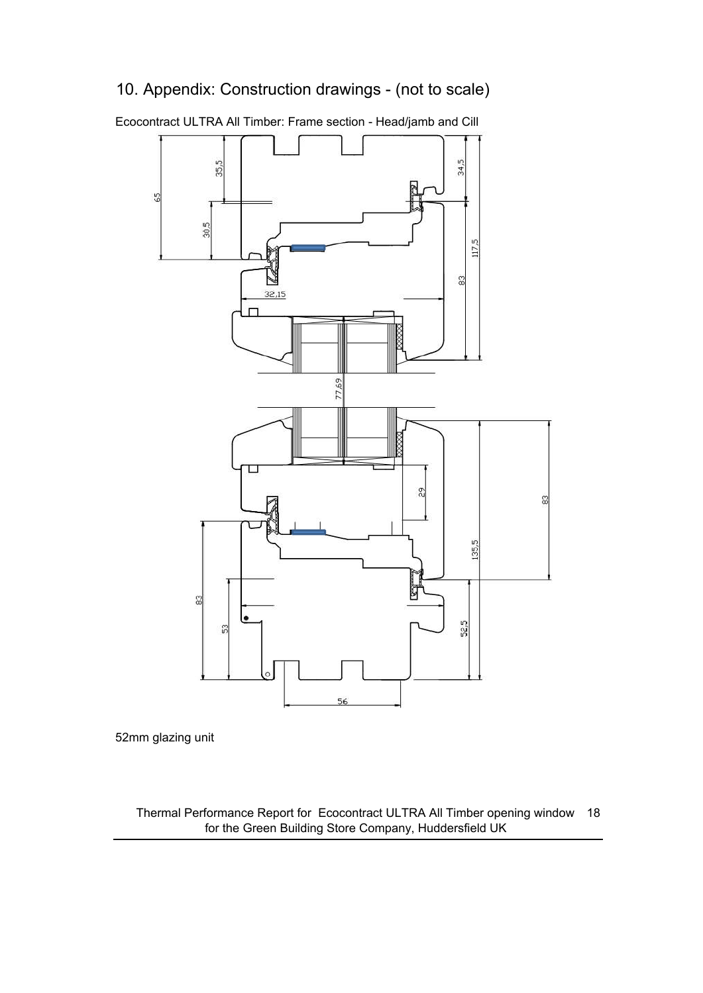## 10. Appendix: Construction drawings - (not to scale)



Ecocontract ULTRA All Timber: Frame section - Head/jamb and Cill

52mm glazing unit

Thermal Performance Report for Ecocontract ULTRA All Timber opening window 18 for the Green Building Store Company, Huddersfield UK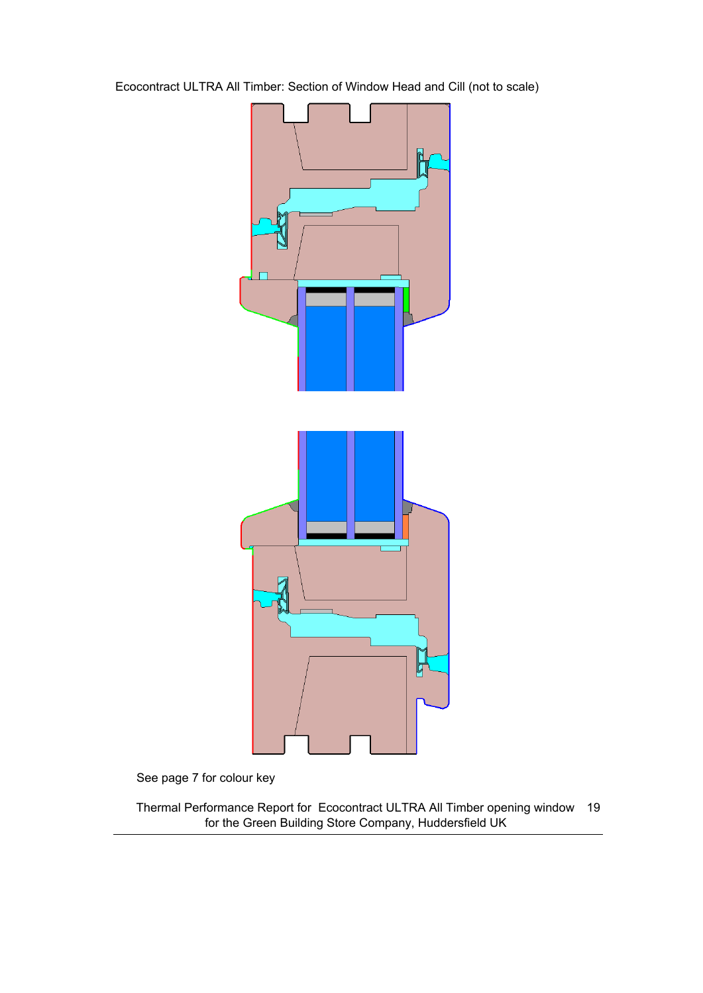Ecocontract ULTRA All Timber: Section of Window Head and Cill (not to scale)



See page 7 for colour key

Thermal Performance Report for Ecocontract ULTRA All Timber opening window 19 for the Green Building Store Company, Huddersfield UK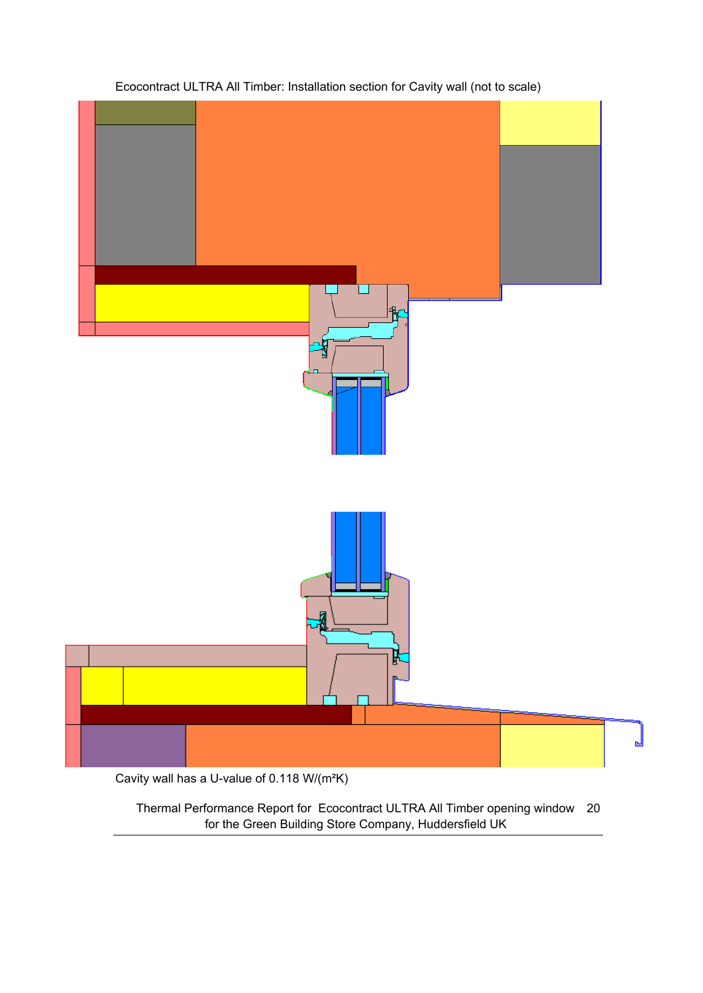

#### Ecocontract ULTRA All Timber: Installation section for Cavity wall (not to scale)

Thermal Performance Report for Ecocontract ULTRA All Timber opening window 20 for the Green Building Store Company, Huddersfield UK

ᆸ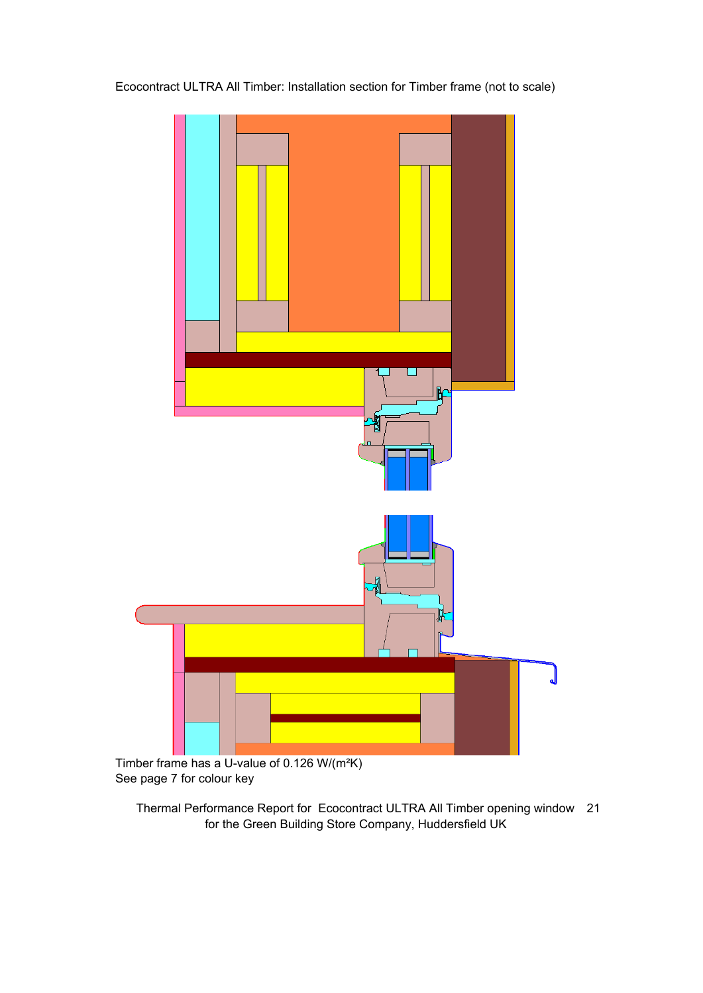Ecocontract ULTRA All Timber: Installation section for Timber frame (not to scale)



Timber frame has a U-value of 0.126 W/(m<sup>2</sup>K) See page 7 for colour key

Thermal Performance Report for Ecocontract ULTRA All Timber opening window 21 for the Green Building Store Company, Huddersfield UK